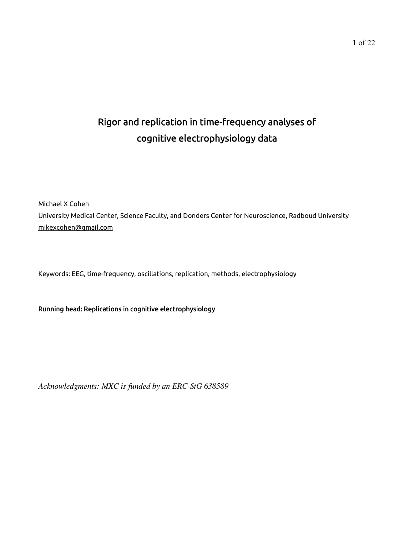# Rigor and replication in time-frequency analyses of cognitive electrophysiology data

Michael X Cohen University Medical Center, Science Faculty, and Donders Center for Neuroscience, Radboud University mikexcohen@gmail.com

Keywords: EEG, time-frequency, oscillations, replication, methods, electrophysiology

Running head: Replications in cognitive electrophysiology

*Acknowledgments: MXC is funded by an ERC-StG 638589*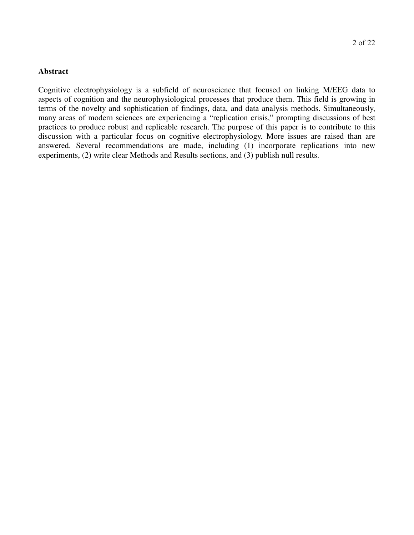#### **Abstract**

Cognitive electrophysiology is a subfield of neuroscience that focused on linking M/EEG data to aspects of cognition and the neurophysiological processes that produce them. This field is growing in terms of the novelty and sophistication of findings, data, and data analysis methods. Simultaneously, many areas of modern sciences are experiencing a "replication crisis," prompting discussions of best practices to produce robust and replicable research. The purpose of this paper is to contribute to this discussion with a particular focus on cognitive electrophysiology. More issues are raised than are answered. Several recommendations are made, including (1) incorporate replications into new experiments, (2) write clear Methods and Results sections, and (3) publish null results.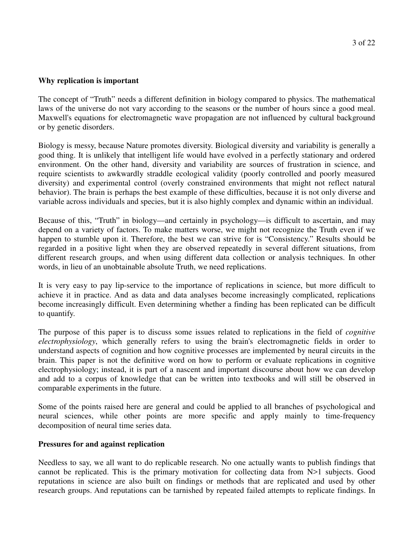# **Why replication is important**

The concept of "Truth" needs a different definition in biology compared to physics. The mathematical laws of the universe do not vary according to the seasons or the number of hours since a good meal. Maxwell's equations for electromagnetic wave propagation are not influenced by cultural background or by genetic disorders.

Biology is messy, because Nature promotes diversity. Biological diversity and variability is generally a good thing. It is unlikely that intelligent life would have evolved in a perfectly stationary and ordered environment. On the other hand, diversity and variability are sources of frustration in science, and require scientists to awkwardly straddle ecological validity (poorly controlled and poorly measured diversity) and experimental control (overly constrained environments that might not reflect natural behavior). The brain is perhaps the best example of these difficulties, because it is not only diverse and variable across individuals and species, but it is also highly complex and dynamic within an individual.

Because of this, "Truth" in biology—and certainly in psychology—is difficult to ascertain, and may depend on a variety of factors. To make matters worse, we might not recognize the Truth even if we happen to stumble upon it. Therefore, the best we can strive for is "Consistency." Results should be regarded in a positive light when they are observed repeatedly in several different situations, from different research groups, and when using different data collection or analysis techniques. In other words, in lieu of an unobtainable absolute Truth, we need replications.

It is very easy to pay lip-service to the importance of replications in science, but more difficult to achieve it in practice. And as data and data analyses become increasingly complicated, replications become increasingly difficult. Even determining whether a finding has been replicated can be difficult to quantify.

The purpose of this paper is to discuss some issues related to replications in the field of *cognitive electrophysiology*, which generally refers to using the brain's electromagnetic fields in order to understand aspects of cognition and how cognitive processes are implemented by neural circuits in the brain. This paper is not the definitive word on how to perform or evaluate replications in cognitive electrophysiology; instead, it is part of a nascent and important discourse about how we can develop and add to a corpus of knowledge that can be written into textbooks and will still be observed in comparable experiments in the future.

Some of the points raised here are general and could be applied to all branches of psychological and neural sciences, while other points are more specific and apply mainly to time-frequency decomposition of neural time series data.

# **Pressures for and against replication**

Needless to say, we all want to do replicable research. No one actually wants to publish findings that cannot be replicated. This is the primary motivation for collecting data from N>1 subjects. Good reputations in science are also built on findings or methods that are replicated and used by other research groups. And reputations can be tarnished by repeated failed attempts to replicate findings. In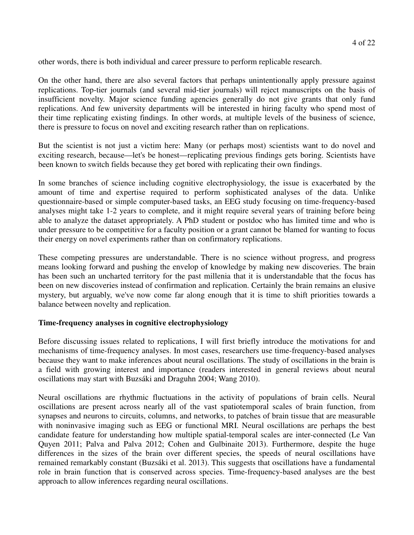other words, there is both individual and career pressure to perform replicable research.

On the other hand, there are also several factors that perhaps unintentionally apply pressure against replications. Top-tier journals (and several mid-tier journals) will reject manuscripts on the basis of insufficient novelty. Major science funding agencies generally do not give grants that only fund replications. And few university departments will be interested in hiring faculty who spend most of their time replicating existing findings. In other words, at multiple levels of the business of science, there is pressure to focus on novel and exciting research rather than on replications.

But the scientist is not just a victim here: Many (or perhaps most) scientists want to do novel and exciting research, because—let's be honest—replicating previous findings gets boring. Scientists have been known to switch fields because they get bored with replicating their own findings.

In some branches of science including cognitive electrophysiology, the issue is exacerbated by the amount of time and expertise required to perform sophisticated analyses of the data. Unlike questionnaire-based or simple computer-based tasks, an EEG study focusing on time-frequency-based analyses might take 1-2 years to complete, and it might require several years of training before being able to analyze the dataset appropriately. A PhD student or postdoc who has limited time and who is under pressure to be competitive for a faculty position or a grant cannot be blamed for wanting to focus their energy on novel experiments rather than on confirmatory replications.

These competing pressures are understandable. There is no science without progress, and progress means looking forward and pushing the envelop of knowledge by making new discoveries. The brain has been such an uncharted territory for the past millenia that it is understandable that the focus has been on new discoveries instead of confirmation and replication. Certainly the brain remains an elusive mystery, but arguably, we've now come far along enough that it is time to shift priorities towards a balance between novelty and replication.

# **Time-frequency analyses in cognitive electrophysiology**

Before discussing issues related to replications, I will first briefly introduce the motivations for and mechanisms of time-frequency analyses. In most cases, researchers use time-frequency-based analyses because they want to make inferences about neural oscillations. The study of oscillations in the brain is a field with growing interest and importance (readers interested in general reviews about neural oscillations may start with Buzsáki and Draguhn 2004; Wang 2010).

Neural oscillations are rhythmic fluctuations in the activity of populations of brain cells. Neural oscillations are present across nearly all of the vast spatiotemporal scales of brain function, from synapses and neurons to circuits, columns, and networks, to patches of brain tissue that are measurable with noninvasive imaging such as EEG or functional MRI. Neural oscillations are perhaps the best candidate feature for understanding how multiple spatial-temporal scales are inter-connected (Le Van Quyen 2011; Palva and Palva 2012; Cohen and Gulbinaite 2013). Furthermore, despite the huge differences in the sizes of the brain over different species, the speeds of neural oscillations have remained remarkably constant (Buzsáki et al. 2013). This suggests that oscillations have a fundamental role in brain function that is conserved across species. Time-frequency-based analyses are the best approach to allow inferences regarding neural oscillations.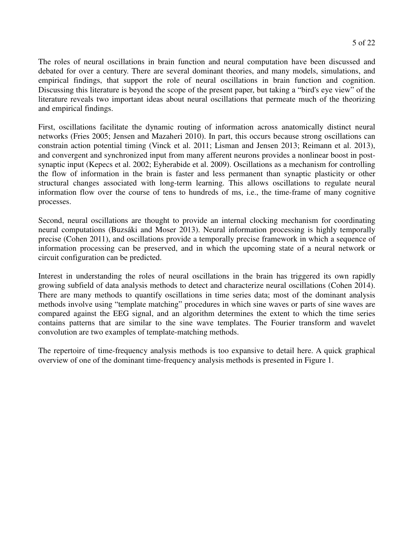The roles of neural oscillations in brain function and neural computation have been discussed and debated for over a century. There are several dominant theories, and many models, simulations, and empirical findings, that support the role of neural oscillations in brain function and cognition. Discussing this literature is beyond the scope of the present paper, but taking a "bird's eye view" of the literature reveals two important ideas about neural oscillations that permeate much of the theorizing and empirical findings.

First, oscillations facilitate the dynamic routing of information across anatomically distinct neural networks (Fries 2005; Jensen and Mazaheri 2010). In part, this occurs because strong oscillations can constrain action potential timing (Vinck et al. 2011; Lisman and Jensen 2013; Reimann et al. 2013), and convergent and synchronized input from many afferent neurons provides a nonlinear boost in postsynaptic input (Kepecs et al. 2002; Eyherabide et al. 2009). Oscillations as a mechanism for controlling the flow of information in the brain is faster and less permanent than synaptic plasticity or other structural changes associated with long-term learning. This allows oscillations to regulate neural information flow over the course of tens to hundreds of ms, i.e., the time-frame of many cognitive processes.

Second, neural oscillations are thought to provide an internal clocking mechanism for coordinating neural computations (Buzsáki and Moser 2013). Neural information processing is highly temporally precise (Cohen 2011), and oscillations provide a temporally precise framework in which a sequence of information processing can be preserved, and in which the upcoming state of a neural network or circuit configuration can be predicted.

Interest in understanding the roles of neural oscillations in the brain has triggered its own rapidly growing subfield of data analysis methods to detect and characterize neural oscillations (Cohen 2014). There are many methods to quantify oscillations in time series data; most of the dominant analysis methods involve using "template matching" procedures in which sine waves or parts of sine waves are compared against the EEG signal, and an algorithm determines the extent to which the time series contains patterns that are similar to the sine wave templates. The Fourier transform and wavelet convolution are two examples of template-matching methods.

The repertoire of time-frequency analysis methods is too expansive to detail here. A quick graphical overview of one of the dominant time-frequency analysis methods is presented in Figure 1.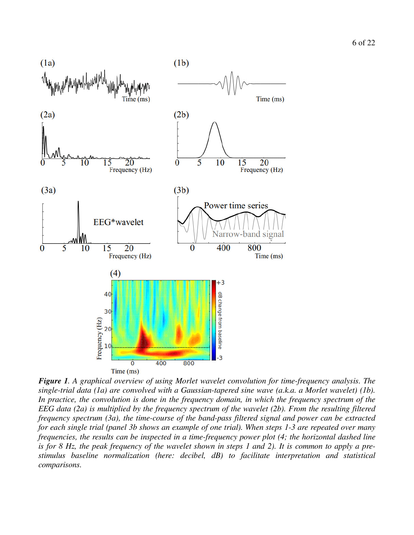

*Figure 1. A graphical overview of using Morlet wavelet convolution for time-frequency analysis. The single-trial data (1a) are convolved with a Gaussian-tapered sine wave (a.k.a. a Morlet wavelet) (1b). In practice, the convolution is done in the frequency domain, in which the frequency spectrum of the EEG data (2a) is multiplied by the frequency spectrum of the wavelet (2b). From the resulting filtered frequency spectrum (3a), the time-course of the band-pass filtered signal and power can be extracted for each single trial (panel 3b shows an example of one trial). When steps 1-3 are repeated over many frequencies, the results can be inspected in a time-frequency power plot (4; the horizontal dashed line is for 8 Hz, the peak frequency of the wavelet shown in steps 1 and 2). It is common to apply a prestimulus baseline normalization (here: decibel, dB) to facilitate interpretation and statistical comparisons.*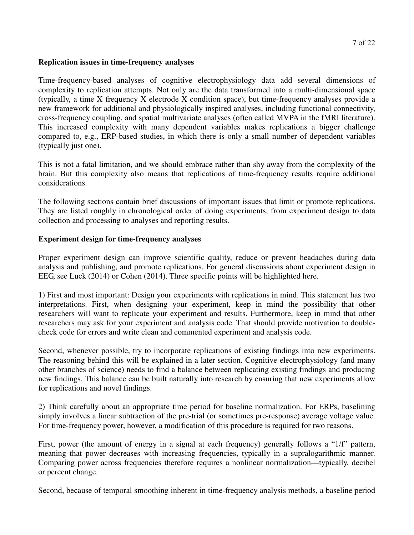# **Replication issues in time-frequency analyses**

Time-frequency-based analyses of cognitive electrophysiology data add several dimensions of complexity to replication attempts. Not only are the data transformed into a multi-dimensional space (typically, a time X frequency X electrode X condition space), but time-frequency analyses provide a new framework for additional and physiologically inspired analyses, including functional connectivity, cross-frequency coupling, and spatial multivariate analyses (often called MVPA in the fMRI literature). This increased complexity with many dependent variables makes replications a bigger challenge compared to, e.g., ERP-based studies, in which there is only a small number of dependent variables (typically just one).

This is not a fatal limitation, and we should embrace rather than shy away from the complexity of the brain. But this complexity also means that replications of time-frequency results require additional considerations.

The following sections contain brief discussions of important issues that limit or promote replications. They are listed roughly in chronological order of doing experiments, from experiment design to data collection and processing to analyses and reporting results.

# **Experiment design for time-frequency analyses**

Proper experiment design can improve scientific quality, reduce or prevent headaches during data analysis and publishing, and promote replications. For general discussions about experiment design in EEG, see Luck (2014) or Cohen (2014). Three specific points will be highlighted here.

1) First and most important: Design your experiments with replications in mind. This statement has two interpretations. First, when designing your experiment, keep in mind the possibility that other researchers will want to replicate your experiment and results. Furthermore, keep in mind that other researchers may ask for your experiment and analysis code. That should provide motivation to doublecheck code for errors and write clean and commented experiment and analysis code.

Second, whenever possible, try to incorporate replications of existing findings into new experiments. The reasoning behind this will be explained in a later section. Cognitive electrophysiology (and many other branches of science) needs to find a balance between replicating existing findings and producing new findings. This balance can be built naturally into research by ensuring that new experiments allow for replications and novel findings.

2) Think carefully about an appropriate time period for baseline normalization. For ERPs, baselining simply involves a linear subtraction of the pre-trial (or sometimes pre-response) average voltage value. For time-frequency power, however, a modification of this procedure is required for two reasons.

First, power (the amount of energy in a signal at each frequency) generally follows a "1/f" pattern, meaning that power decreases with increasing frequencies, typically in a supralogarithmic manner. Comparing power across frequencies therefore requires a nonlinear normalization—typically, decibel or percent change.

Second, because of temporal smoothing inherent in time-frequency analysis methods, a baseline period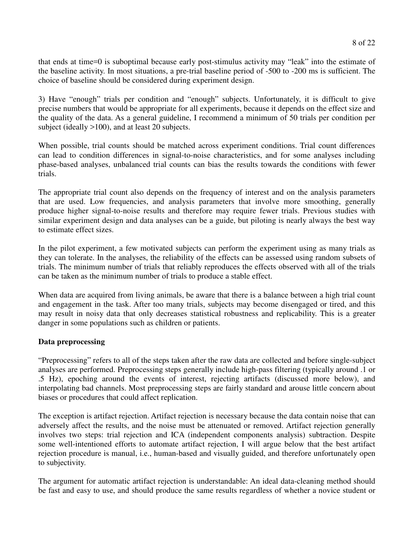that ends at time=0 is suboptimal because early post-stimulus activity may "leak" into the estimate of the baseline activity. In most situations, a pre-trial baseline period of -500 to -200 ms is sufficient. The choice of baseline should be considered during experiment design.

3) Have "enough" trials per condition and "enough" subjects. Unfortunately, it is difficult to give precise numbers that would be appropriate for all experiments, because it depends on the effect size and the quality of the data. As a general guideline, I recommend a minimum of 50 trials per condition per subject (ideally >100), and at least 20 subjects.

When possible, trial counts should be matched across experiment conditions. Trial count differences can lead to condition differences in signal-to-noise characteristics, and for some analyses including phase-based analyses, unbalanced trial counts can bias the results towards the conditions with fewer trials.

The appropriate trial count also depends on the frequency of interest and on the analysis parameters that are used. Low frequencies, and analysis parameters that involve more smoothing, generally produce higher signal-to-noise results and therefore may require fewer trials. Previous studies with similar experiment design and data analyses can be a guide, but piloting is nearly always the best way to estimate effect sizes.

In the pilot experiment, a few motivated subjects can perform the experiment using as many trials as they can tolerate. In the analyses, the reliability of the effects can be assessed using random subsets of trials. The minimum number of trials that reliably reproduces the effects observed with all of the trials can be taken as the minimum number of trials to produce a stable effect.

When data are acquired from living animals, be aware that there is a balance between a high trial count and engagement in the task. After too many trials, subjects may become disengaged or tired, and this may result in noisy data that only decreases statistical robustness and replicability. This is a greater danger in some populations such as children or patients.

# **Data preprocessing**

"Preprocessing" refers to all of the steps taken after the raw data are collected and before single-subject analyses are performed. Preprocessing steps generally include high-pass filtering (typically around .1 or .5 Hz), epoching around the events of interest, rejecting artifacts (discussed more below), and interpolating bad channels. Most preprocessing steps are fairly standard and arouse little concern about biases or procedures that could affect replication.

The exception is artifact rejection. Artifact rejection is necessary because the data contain noise that can adversely affect the results, and the noise must be attenuated or removed. Artifact rejection generally involves two steps: trial rejection and ICA (independent components analysis) subtraction. Despite some well-intentioned efforts to automate artifact rejection, I will argue below that the best artifact rejection procedure is manual, i.e., human-based and visually guided, and therefore unfortunately open to subjectivity.

The argument for automatic artifact rejection is understandable: An ideal data-cleaning method should be fast and easy to use, and should produce the same results regardless of whether a novice student or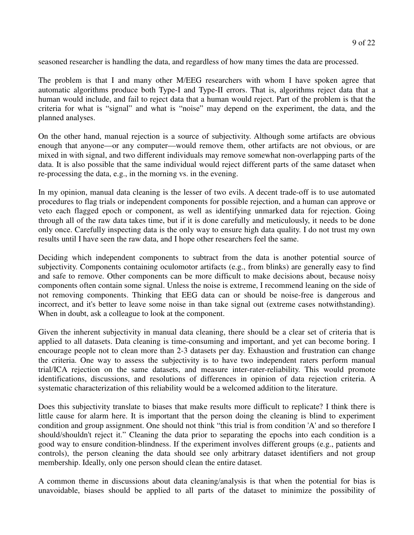seasoned researcher is handling the data, and regardless of how many times the data are processed.

The problem is that I and many other M/EEG researchers with whom I have spoken agree that automatic algorithms produce both Type-I and Type-II errors. That is, algorithms reject data that a human would include, and fail to reject data that a human would reject. Part of the problem is that the criteria for what is "signal" and what is "noise" may depend on the experiment, the data, and the planned analyses.

On the other hand, manual rejection is a source of subjectivity. Although some artifacts are obvious enough that anyone—or any computer—would remove them, other artifacts are not obvious, or are mixed in with signal, and two different individuals may remove somewhat non-overlapping parts of the data. It is also possible that the same individual would reject different parts of the same dataset when re-processing the data, e.g., in the morning vs. in the evening.

In my opinion, manual data cleaning is the lesser of two evils. A decent trade-off is to use automated procedures to flag trials or independent components for possible rejection, and a human can approve or veto each flagged epoch or component, as well as identifying unmarked data for rejection. Going through all of the raw data takes time, but if it is done carefully and meticulously, it needs to be done only once. Carefully inspecting data is the only way to ensure high data quality. I do not trust my own results until I have seen the raw data, and I hope other researchers feel the same.

Deciding which independent components to subtract from the data is another potential source of subjectivity. Components containing oculomotor artifacts (e.g., from blinks) are generally easy to find and safe to remove. Other components can be more difficult to make decisions about, because noisy components often contain some signal. Unless the noise is extreme, I recommend leaning on the side of not removing components. Thinking that EEG data can or should be noise-free is dangerous and incorrect, and it's better to leave some noise in than take signal out (extreme cases notwithstanding). When in doubt, ask a colleague to look at the component.

Given the inherent subjectivity in manual data cleaning, there should be a clear set of criteria that is applied to all datasets. Data cleaning is time-consuming and important, and yet can become boring. I encourage people not to clean more than 2-3 datasets per day. Exhaustion and frustration can change the criteria. One way to assess the subjectivity is to have two independent raters perform manual trial/ICA rejection on the same datasets, and measure inter-rater-reliability. This would promote identifications, discussions, and resolutions of differences in opinion of data rejection criteria. A systematic characterization of this reliability would be a welcomed addition to the literature.

Does this subjectivity translate to biases that make results more difficult to replicate? I think there is little cause for alarm here. It is important that the person doing the cleaning is blind to experiment condition and group assignment. One should not think "this trial is from condition 'A' and so therefore I should/shouldn't reject it." Cleaning the data prior to separating the epochs into each condition is a good way to ensure condition-blindness. If the experiment involves different groups (e.g., patients and controls), the person cleaning the data should see only arbitrary dataset identifiers and not group membership. Ideally, only one person should clean the entire dataset.

A common theme in discussions about data cleaning/analysis is that when the potential for bias is unavoidable, biases should be applied to all parts of the dataset to minimize the possibility of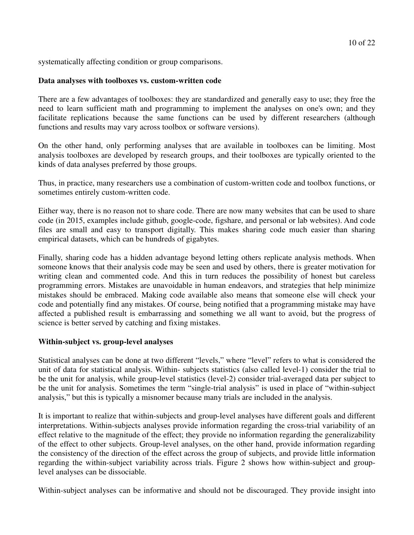systematically affecting condition or group comparisons.

### **Data analyses with toolboxes vs. custom-written code**

There are a few advantages of toolboxes: they are standardized and generally easy to use; they free the need to learn sufficient math and programming to implement the analyses on one's own; and they facilitate replications because the same functions can be used by different researchers (although functions and results may vary across toolbox or software versions).

On the other hand, only performing analyses that are available in toolboxes can be limiting. Most analysis toolboxes are developed by research groups, and their toolboxes are typically oriented to the kinds of data analyses preferred by those groups.

Thus, in practice, many researchers use a combination of custom-written code and toolbox functions, or sometimes entirely custom-written code.

Either way, there is no reason not to share code. There are now many websites that can be used to share code (in 2015, examples include github, google-code, figshare, and personal or lab websites). And code files are small and easy to transport digitally. This makes sharing code much easier than sharing empirical datasets, which can be hundreds of gigabytes.

Finally, sharing code has a hidden advantage beyond letting others replicate analysis methods. When someone knows that their analysis code may be seen and used by others, there is greater motivation for writing clean and commented code. And this in turn reduces the possibility of honest but careless programming errors. Mistakes are unavoidable in human endeavors, and strategies that help minimize mistakes should be embraced. Making code available also means that someone else will check your code and potentially find any mistakes. Of course, being notified that a programming mistake may have affected a published result is embarrassing and something we all want to avoid, but the progress of science is better served by catching and fixing mistakes.

# **Within-subject vs. group-level analyses**

Statistical analyses can be done at two different "levels," where "level" refers to what is considered the unit of data for statistical analysis. Within- subjects statistics (also called level-1) consider the trial to be the unit for analysis, while group-level statistics (level-2) consider trial-averaged data per subject to be the unit for analysis. Sometimes the term "single-trial analysis" is used in place of "within-subject analysis," but this is typically a misnomer because many trials are included in the analysis.

It is important to realize that within-subjects and group-level analyses have different goals and different interpretations. Within-subjects analyses provide information regarding the cross-trial variability of an effect relative to the magnitude of the effect; they provide no information regarding the generalizability of the effect to other subjects. Group-level analyses, on the other hand, provide information regarding the consistency of the direction of the effect across the group of subjects, and provide little information regarding the within-subject variability across trials. Figure 2 shows how within-subject and grouplevel analyses can be dissociable.

Within-subject analyses can be informative and should not be discouraged. They provide insight into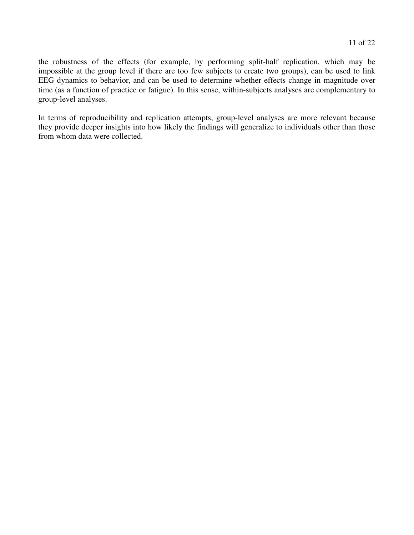the robustness of the effects (for example, by performing split-half replication, which may be impossible at the group level if there are too few subjects to create two groups), can be used to link EEG dynamics to behavior, and can be used to determine whether effects change in magnitude over time (as a function of practice or fatigue). In this sense, within-subjects analyses are complementary to group-level analyses.

In terms of reproducibility and replication attempts, group-level analyses are more relevant because they provide deeper insights into how likely the findings will generalize to individuals other than those from whom data were collected.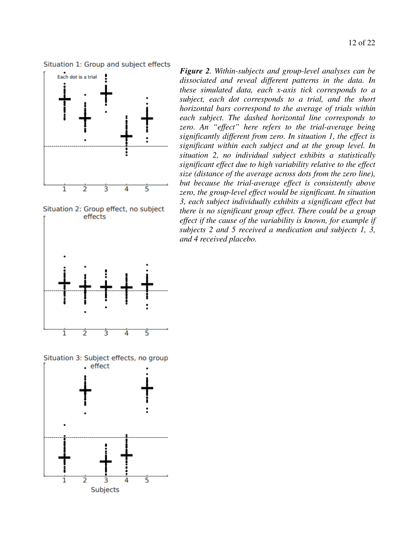12 of 22

Situation 1: Group and subject effects



Situation 2: Group effect, no subject effects



Situation 3: Subject effects, no group effect



*Figure 2. Within-subjects and group-level analyses can be dissociated and reveal different patterns in the data. In these simulated data, each x-axis tick corresponds to a subject, each dot corresponds to a trial, and the short horizontal bars correspond to the average of trials within each subject. The dashed horizontal line corresponds to zero. An "effect" here refers to the trial-average being significantly different from zero. In situation 1, the effect is significant within each subject and at the group level. In situation 2, no individual subject exhibits a statistically significant effect due to high variability relative to the effect size (distance of the average across dots from the zero line), but because the trial-average effect is consistently above zero, the group-level effect would be significant. In situation 3, each subject individually exhibits a significant effect but there is no significant group effect. There could be a group effect if the cause of the variability is known, for example if subjects 2 and 5 received a medication and subjects 1, 3, and 4 received placebo.*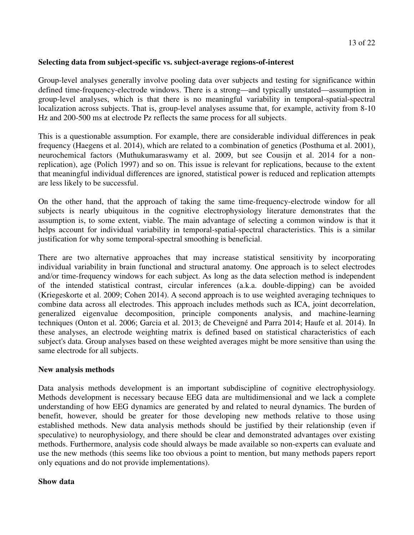# **Selecting data from subject-specific vs. subject-average regions-of-interest**

Group-level analyses generally involve pooling data over subjects and testing for significance within defined time-frequency-electrode windows. There is a strong—and typically unstated—assumption in group-level analyses, which is that there is no meaningful variability in temporal-spatial-spectral localization across subjects. That is, group-level analyses assume that, for example, activity from 8-10 Hz and 200-500 ms at electrode Pz reflects the same process for all subjects.

This is a questionable assumption. For example, there are considerable individual differences in peak frequency (Haegens et al. 2014), which are related to a combination of genetics (Posthuma et al. 2001), neurochemical factors (Muthukumaraswamy et al. 2009, but see Cousijn et al. 2014 for a nonreplication), age (Polich 1997) and so on. This issue is relevant for replications, because to the extent that meaningful individual differences are ignored, statistical power is reduced and replication attempts are less likely to be successful.

On the other hand, that the approach of taking the same time-frequency-electrode window for all subjects is nearly ubiquitous in the cognitive electrophysiology literature demonstrates that the assumption is, to some extent, viable. The main advantage of selecting a common window is that it helps account for individual variability in temporal-spatial-spectral characteristics. This is a similar justification for why some temporal-spectral smoothing is beneficial.

There are two alternative approaches that may increase statistical sensitivity by incorporating individual variability in brain functional and structural anatomy. One approach is to select electrodes and/or time-frequency windows for each subject. As long as the data selection method is independent of the intended statistical contrast, circular inferences (a.k.a. double-dipping) can be avoided (Kriegeskorte et al. 2009; Cohen 2014). A second approach is to use weighted averaging techniques to combine data across all electrodes. This approach includes methods such as ICA, joint decorrelation, generalized eigenvalue decomposition, principle components analysis, and machine-learning techniques (Onton et al. 2006; Garcia et al. 2013; de Cheveigné and Parra 2014; Haufe et al. 2014). In these analyses, an electrode weighting matrix is defined based on statistical characteristics of each subject's data. Group analyses based on these weighted averages might be more sensitive than using the same electrode for all subjects.

# **New analysis methods**

Data analysis methods development is an important subdiscipline of cognitive electrophysiology. Methods development is necessary because EEG data are multidimensional and we lack a complete understanding of how EEG dynamics are generated by and related to neural dynamics. The burden of benefit, however, should be greater for those developing new methods relative to those using established methods. New data analysis methods should be justified by their relationship (even if speculative) to neurophysiology, and there should be clear and demonstrated advantages over existing methods. Furthermore, analysis code should always be made available so non-experts can evaluate and use the new methods (this seems like too obvious a point to mention, but many methods papers report only equations and do not provide implementations).

# **Show data**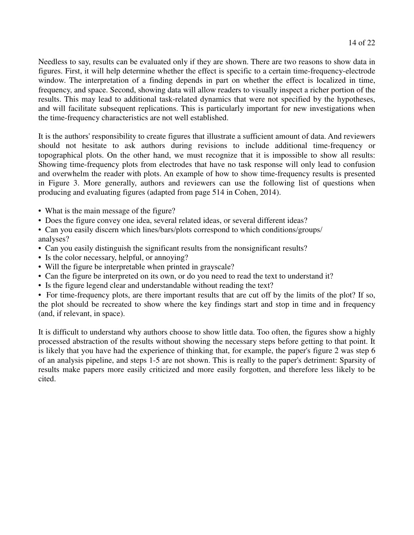Needless to say, results can be evaluated only if they are shown. There are two reasons to show data in figures. First, it will help determine whether the effect is specific to a certain time-frequency-electrode window. The interpretation of a finding depends in part on whether the effect is localized in time, frequency, and space. Second, showing data will allow readers to visually inspect a richer portion of the results. This may lead to additional task-related dynamics that were not specified by the hypotheses, and will facilitate subsequent replications. This is particularly important for new investigations when the time-frequency characteristics are not well established.

It is the authors' responsibility to create figures that illustrate a sufficient amount of data. And reviewers should not hesitate to ask authors during revisions to include additional time-frequency or topographical plots. On the other hand, we must recognize that it is impossible to show all results: Showing time-frequency plots from electrodes that have no task response will only lead to confusion and overwhelm the reader with plots. An example of how to show time-frequency results is presented in Figure 3. More generally, authors and reviewers can use the following list of questions when producing and evaluating figures (adapted from page 514 in Cohen, 2014).

- What is the main message of the figure?
- Does the figure convey one idea, several related ideas, or several different ideas?
- Can you easily discern which lines/bars/plots correspond to which conditions/groups/ analyses?
- Can you easily distinguish the significant results from the nonsignificant results?
- Is the color necessary, helpful, or annoying?
- Will the figure be interpretable when printed in grayscale?
- Can the figure be interpreted on its own, or do you need to read the text to understand it?
- Is the figure legend clear and understandable without reading the text?

• For time-frequency plots, are there important results that are cut off by the limits of the plot? If so, the plot should be recreated to show where the key findings start and stop in time and in frequency (and, if relevant, in space).

It is difficult to understand why authors choose to show little data. Too often, the figures show a highly processed abstraction of the results without showing the necessary steps before getting to that point. It is likely that you have had the experience of thinking that, for example, the paper's figure 2 was step 6 of an analysis pipeline, and steps 1-5 are not shown. This is really to the paper's detriment: Sparsity of results make papers more easily criticized and more easily forgotten, and therefore less likely to be cited.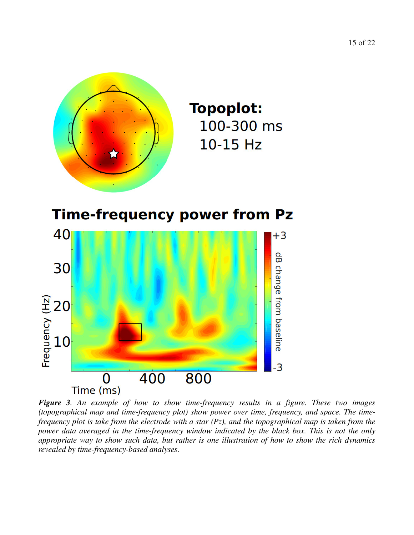

*Figure 3. An example of how to show time-frequency results in a figure. These two images (topographical map and time-frequency plot) show power over time, frequency, and space. The timefrequency plot is take from the electrode with a star (Pz), and the topographical map is taken from the power data averaged in the time-frequency window indicated by the black box. This is not the only appropriate way to show such data, but rather is one illustration of how to show the rich dynamics revealed by time-frequency-based analyses.*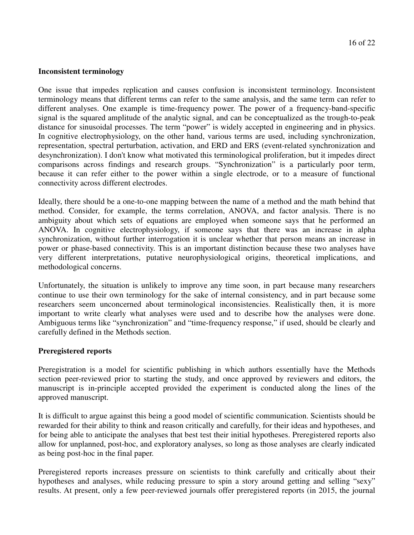#### **Inconsistent terminology**

One issue that impedes replication and causes confusion is inconsistent terminology. Inconsistent terminology means that different terms can refer to the same analysis, and the same term can refer to different analyses. One example is time-frequency power. The power of a frequency-band-specific signal is the squared amplitude of the analytic signal, and can be conceptualized as the trough-to-peak distance for sinusoidal processes. The term "power" is widely accepted in engineering and in physics. In cognitive electrophysiology, on the other hand, various terms are used, including synchronization, representation, spectral perturbation, activation, and ERD and ERS (event-related synchronization and desynchronization). I don't know what motivated this terminological proliferation, but it impedes direct comparisons across findings and research groups. "Synchronization" is a particularly poor term, because it can refer either to the power within a single electrode, or to a measure of functional connectivity across different electrodes.

Ideally, there should be a one-to-one mapping between the name of a method and the math behind that method. Consider, for example, the terms correlation, ANOVA, and factor analysis. There is no ambiguity about which sets of equations are employed when someone says that he performed an ANOVA. In cognitive electrophysiology, if someone says that there was an increase in alpha synchronization, without further interrogation it is unclear whether that person means an increase in power or phase-based connectivity. This is an important distinction because these two analyses have very different interpretations, putative neurophysiological origins, theoretical implications, and methodological concerns.

Unfortunately, the situation is unlikely to improve any time soon, in part because many researchers continue to use their own terminology for the sake of internal consistency, and in part because some researchers seem unconcerned about terminological inconsistencies. Realistically then, it is more important to write clearly what analyses were used and to describe how the analyses were done. Ambiguous terms like "synchronization" and "time-frequency response," if used, should be clearly and carefully defined in the Methods section.

# **Preregistered reports**

Preregistration is a model for scientific publishing in which authors essentially have the Methods section peer-reviewed prior to starting the study, and once approved by reviewers and editors, the manuscript is in-principle accepted provided the experiment is conducted along the lines of the approved manuscript.

It is difficult to argue against this being a good model of scientific communication. Scientists should be rewarded for their ability to think and reason critically and carefully, for their ideas and hypotheses, and for being able to anticipate the analyses that best test their initial hypotheses. Preregistered reports also allow for unplanned, post-hoc, and exploratory analyses, so long as those analyses are clearly indicated as being post-hoc in the final paper.

Preregistered reports increases pressure on scientists to think carefully and critically about their hypotheses and analyses, while reducing pressure to spin a story around getting and selling "sexy" results. At present, only a few peer-reviewed journals offer preregistered reports (in 2015, the journal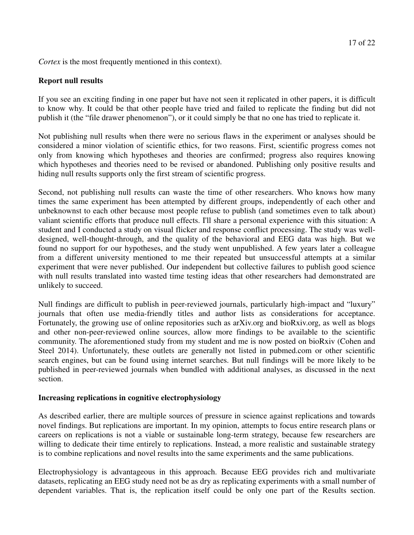*Cortex* is the most frequently mentioned in this context).

# **Report null results**

If you see an exciting finding in one paper but have not seen it replicated in other papers, it is difficult to know why. It could be that other people have tried and failed to replicate the finding but did not publish it (the "file drawer phenomenon"), or it could simply be that no one has tried to replicate it.

Not publishing null results when there were no serious flaws in the experiment or analyses should be considered a minor violation of scientific ethics, for two reasons. First, scientific progress comes not only from knowing which hypotheses and theories are confirmed; progress also requires knowing which hypotheses and theories need to be revised or abandoned. Publishing only positive results and hiding null results supports only the first stream of scientific progress.

Second, not publishing null results can waste the time of other researchers. Who knows how many times the same experiment has been attempted by different groups, independently of each other and unbeknownst to each other because most people refuse to publish (and sometimes even to talk about) valiant scientific efforts that produce null effects. I'll share a personal experience with this situation: A student and I conducted a study on visual flicker and response conflict processing. The study was welldesigned, well-thought-through, and the quality of the behavioral and EEG data was high. But we found no support for our hypotheses, and the study went unpublished. A few years later a colleague from a different university mentioned to me their repeated but unsuccessful attempts at a similar experiment that were never published. Our independent but collective failures to publish good science with null results translated into wasted time testing ideas that other researchers had demonstrated are unlikely to succeed.

Null findings are difficult to publish in peer-reviewed journals, particularly high-impact and "luxury" journals that often use media-friendly titles and author lists as considerations for acceptance. Fortunately, the growing use of online repositories such as arXiv.org and bioRxiv.org, as well as blogs and other non-peer-reviewed online sources, allow more findings to be available to the scientific community. The aforementioned study from my student and me is now posted on bioRxiv (Cohen and Steel 2014). Unfortunately, these outlets are generally not listed in pubmed.com or other scientific search engines, but can be found using internet searches. But null findings will be more likely to be published in peer-reviewed journals when bundled with additional analyses, as discussed in the next section.

# **Increasing replications in cognitive electrophysiology**

As described earlier, there are multiple sources of pressure in science against replications and towards novel findings. But replications are important. In my opinion, attempts to focus entire research plans or careers on replications is not a viable or sustainable long-term strategy, because few researchers are willing to dedicate their time entirely to replications. Instead, a more realistic and sustainable strategy is to combine replications and novel results into the same experiments and the same publications.

Electrophysiology is advantageous in this approach. Because EEG provides rich and multivariate datasets, replicating an EEG study need not be as dry as replicating experiments with a small number of dependent variables. That is, the replication itself could be only one part of the Results section.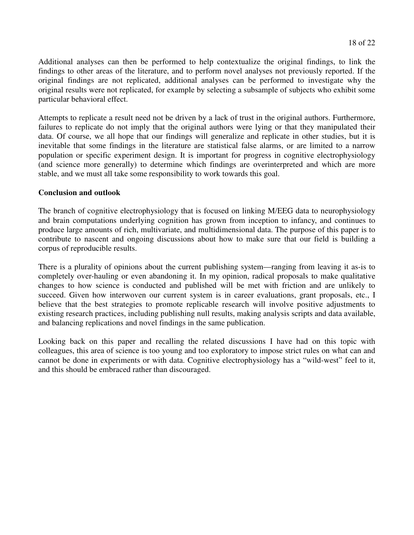Additional analyses can then be performed to help contextualize the original findings, to link the findings to other areas of the literature, and to perform novel analyses not previously reported. If the original findings are not replicated, additional analyses can be performed to investigate why the original results were not replicated, for example by selecting a subsample of subjects who exhibit some particular behavioral effect.

Attempts to replicate a result need not be driven by a lack of trust in the original authors. Furthermore, failures to replicate do not imply that the original authors were lying or that they manipulated their data. Of course, we all hope that our findings will generalize and replicate in other studies, but it is inevitable that some findings in the literature are statistical false alarms, or are limited to a narrow population or specific experiment design. It is important for progress in cognitive electrophysiology (and science more generally) to determine which findings are overinterpreted and which are more stable, and we must all take some responsibility to work towards this goal.

#### **Conclusion and outlook**

The branch of cognitive electrophysiology that is focused on linking M/EEG data to neurophysiology and brain computations underlying cognition has grown from inception to infancy, and continues to produce large amounts of rich, multivariate, and multidimensional data. The purpose of this paper is to contribute to nascent and ongoing discussions about how to make sure that our field is building a corpus of reproducible results.

There is a plurality of opinions about the current publishing system—ranging from leaving it as-is to completely over-hauling or even abandoning it. In my opinion, radical proposals to make qualitative changes to how science is conducted and published will be met with friction and are unlikely to succeed. Given how interwoven our current system is in career evaluations, grant proposals, etc., I believe that the best strategies to promote replicable research will involve positive adjustments to existing research practices, including publishing null results, making analysis scripts and data available, and balancing replications and novel findings in the same publication.

Looking back on this paper and recalling the related discussions I have had on this topic with colleagues, this area of science is too young and too exploratory to impose strict rules on what can and cannot be done in experiments or with data. Cognitive electrophysiology has a "wild-west" feel to it, and this should be embraced rather than discouraged.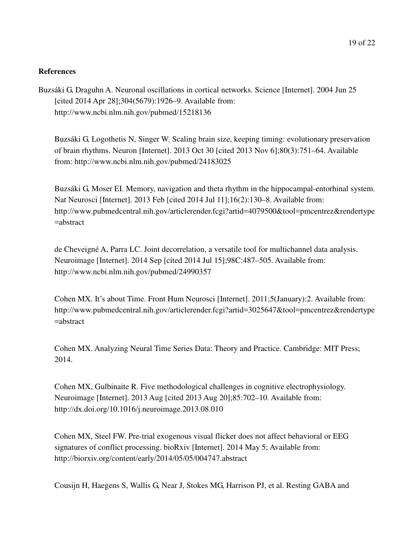# **References**

Buzsáki G, Draguhn A. Neuronal oscillations in cortical networks. Science [Internet]. 2004 Jun 25 [cited 2014 Apr 28];304(5679):1926–9. Available from: http://www.ncbi.nlm.nih.gov/pubmed/15218136

Buzsáki G, Logothetis N, Singer W. Scaling brain size, keeping timing: evolutionary preservation of brain rhythms. Neuron [Internet]. 2013 Oct 30 [cited 2013 Nov 6];80(3):751–64. Available from: http://www.ncbi.nlm.nih.gov/pubmed/24183025

Buzsáki G, Moser EI. Memory, navigation and theta rhythm in the hippocampal-entorhinal system. Nat Neurosci [Internet]. 2013 Feb [cited 2014 Jul 11];16(2):130–8. Available from: http://www.pubmedcentral.nih.gov/articlerender.fcgi?artid=4079500&tool=pmcentrez&rendertype =abstract

de Cheveigné A, Parra LC. Joint decorrelation, a versatile tool for multichannel data analysis. Neuroimage [Internet]. 2014 Sep [cited 2014 Jul 15];98C:487–505. Available from: http://www.ncbi.nlm.nih.gov/pubmed/24990357

Cohen MX. It's about Time. Front Hum Neurosci [Internet]. 2011;5(January):2. Available from: http://www.pubmedcentral.nih.gov/articlerender.fcgi?artid=3025647&tool=pmcentrez&rendertype =abstract

Cohen MX. Analyzing Neural Time Series Data: Theory and Practice. Cambridge: MIT Press; 2014.

Cohen MX, Gulbinaite R. Five methodological challenges in cognitive electrophysiology. Neuroimage [Internet]. 2013 Aug [cited 2013 Aug 20];85:702–10. Available from: http://dx.doi.org/10.1016/j.neuroimage.2013.08.010

Cohen MX, Steel FW. Pre-trial exogenous visual flicker does not affect behavioral or EEG signatures of conflict processing. bioRxiv [Internet]. 2014 May 5; Available from: http://biorxiv.org/content/early/2014/05/05/004747.abstract

Cousijn H, Haegens S, Wallis G, Near J, Stokes MG, Harrison PJ, et al. Resting GABA and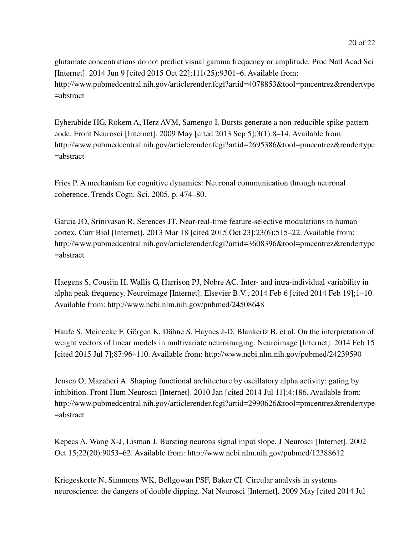glutamate concentrations do not predict visual gamma frequency or amplitude. Proc Natl Acad Sci [Internet]. 2014 Jun 9 [cited 2015 Oct 22];111(25):9301–6. Available from: http://www.pubmedcentral.nih.gov/articlerender.fcgi?artid=4078853&tool=pmcentrez&rendertype =abstract

Eyherabide HG, Rokem A, Herz AVM, Samengo I. Bursts generate a non-reducible spike-pattern code. Front Neurosci [Internet]. 2009 May [cited 2013 Sep 5];3(1):8–14. Available from: http://www.pubmedcentral.nih.gov/articlerender.fcgi?artid=2695386&tool=pmcentrez&rendertype =abstract

Fries P. A mechanism for cognitive dynamics: Neuronal communication through neuronal coherence. Trends Cogn. Sci. 2005. p. 474–80.

Garcia JO, Srinivasan R, Serences JT. Near-real-time feature-selective modulations in human cortex. Curr Biol [Internet]. 2013 Mar 18 [cited 2015 Oct 23];23(6):515–22. Available from: http://www.pubmedcentral.nih.gov/articlerender.fcgi?artid=3608396&tool=pmcentrez&rendertype =abstract

Haegens S, Cousijn H, Wallis G, Harrison PJ, Nobre AC. Inter- and intra-individual variability in alpha peak frequency. Neuroimage [Internet]. Elsevier B.V.; 2014 Feb 6 [cited 2014 Feb 19];1–10. Available from: http://www.ncbi.nlm.nih.gov/pubmed/24508648

Haufe S, Meinecke F, Görgen K, Dähne S, Haynes J-D, Blankertz B, et al. On the interpretation of weight vectors of linear models in multivariate neuroimaging. Neuroimage [Internet]. 2014 Feb 15 [cited 2015 Jul 7];87:96–110. Available from: http://www.ncbi.nlm.nih.gov/pubmed/24239590

Jensen O, Mazaheri A. Shaping functional architecture by oscillatory alpha activity: gating by inhibition. Front Hum Neurosci [Internet]. 2010 Jan [cited 2014 Jul 11];4:186. Available from: http://www.pubmedcentral.nih.gov/articlerender.fcgi?artid=2990626&tool=pmcentrez&rendertype =abstract

Kepecs A, Wang X-J, Lisman J. Bursting neurons signal input slope. J Neurosci [Internet]. 2002 Oct 15;22(20):9053–62. Available from: http://www.ncbi.nlm.nih.gov/pubmed/12388612

Kriegeskorte N, Simmons WK, Bellgowan PSF, Baker CI. Circular analysis in systems neuroscience: the dangers of double dipping. Nat Neurosci [Internet]. 2009 May [cited 2014 Jul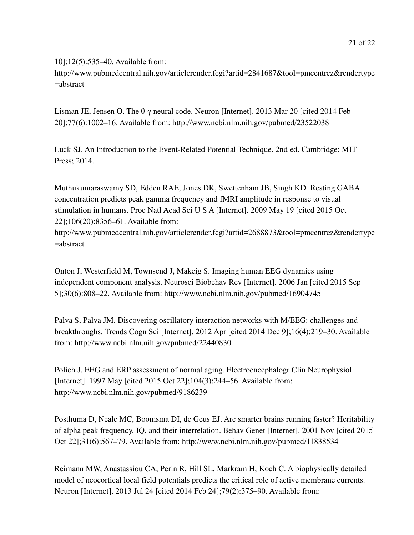10];12(5):535–40. Available from:

http://www.pubmedcentral.nih.gov/articlerender.fcgi?artid=2841687&tool=pmcentrez&rendertype =abstract

Lisman JE, Jensen O. The θ-γ neural code. Neuron [Internet]. 2013 Mar 20 [cited 2014 Feb 20];77(6):1002–16. Available from: http://www.ncbi.nlm.nih.gov/pubmed/23522038

Luck SJ. An Introduction to the Event-Related Potential Technique. 2nd ed. Cambridge: MIT Press; 2014.

Muthukumaraswamy SD, Edden RAE, Jones DK, Swettenham JB, Singh KD. Resting GABA concentration predicts peak gamma frequency and fMRI amplitude in response to visual stimulation in humans. Proc Natl Acad Sci U S A [Internet]. 2009 May 19 [cited 2015 Oct 22];106(20):8356–61. Available from:

http://www.pubmedcentral.nih.gov/articlerender.fcgi?artid=2688873&tool=pmcentrez&rendertype =abstract

Onton J, Westerfield M, Townsend J, Makeig S. Imaging human EEG dynamics using independent component analysis. Neurosci Biobehav Rev [Internet]. 2006 Jan [cited 2015 Sep 5];30(6):808–22. Available from: http://www.ncbi.nlm.nih.gov/pubmed/16904745

Palva S, Palva JM. Discovering oscillatory interaction networks with M/EEG: challenges and breakthroughs. Trends Cogn Sci [Internet]. 2012 Apr [cited 2014 Dec 9];16(4):219–30. Available from: http://www.ncbi.nlm.nih.gov/pubmed/22440830

Polich J. EEG and ERP assessment of normal aging. Electroencephalogr Clin Neurophysiol [Internet]. 1997 May [cited 2015 Oct 22];104(3):244–56. Available from: http://www.ncbi.nlm.nih.gov/pubmed/9186239

Posthuma D, Neale MC, Boomsma DI, de Geus EJ. Are smarter brains running faster? Heritability of alpha peak frequency, IQ, and their interrelation. Behav Genet [Internet]. 2001 Nov [cited 2015 Oct 22];31(6):567–79. Available from: http://www.ncbi.nlm.nih.gov/pubmed/11838534

Reimann MW, Anastassiou CA, Perin R, Hill SL, Markram H, Koch C. A biophysically detailed model of neocortical local field potentials predicts the critical role of active membrane currents. Neuron [Internet]. 2013 Jul 24 [cited 2014 Feb 24];79(2):375–90. Available from: